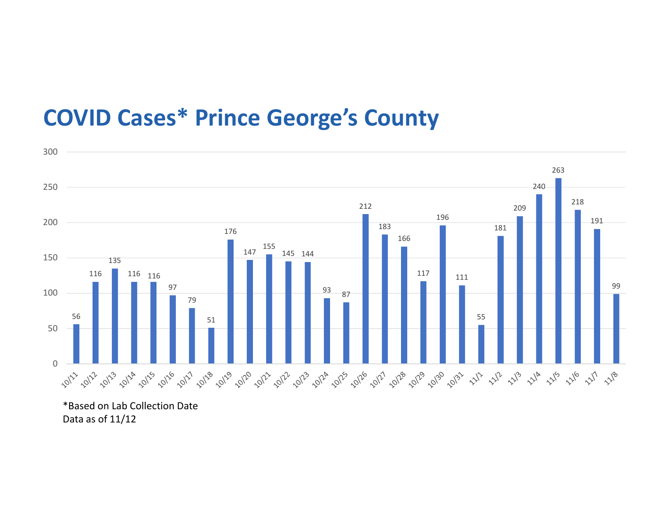## COVID Cases\* Prince George's County



\*Based on Lab Collection Date Data as of 11/12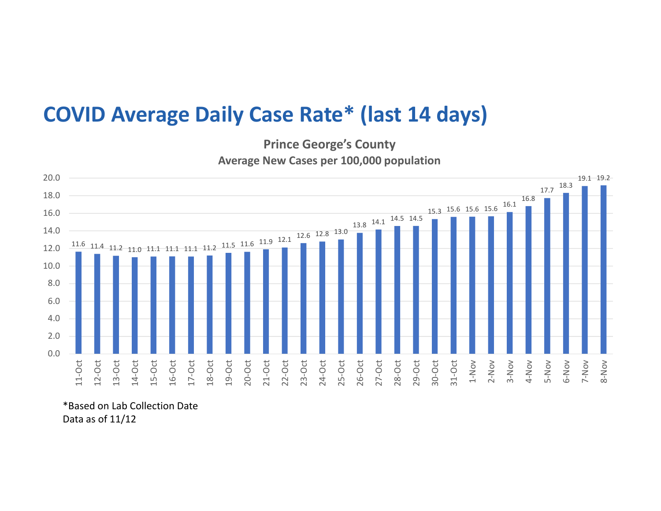## COVID Average Daily Case Rate\* (last 14 days)

Prince George's County Average New Cases per 100,000 population



\*Based on Lab Collection Date Data as of 11/12